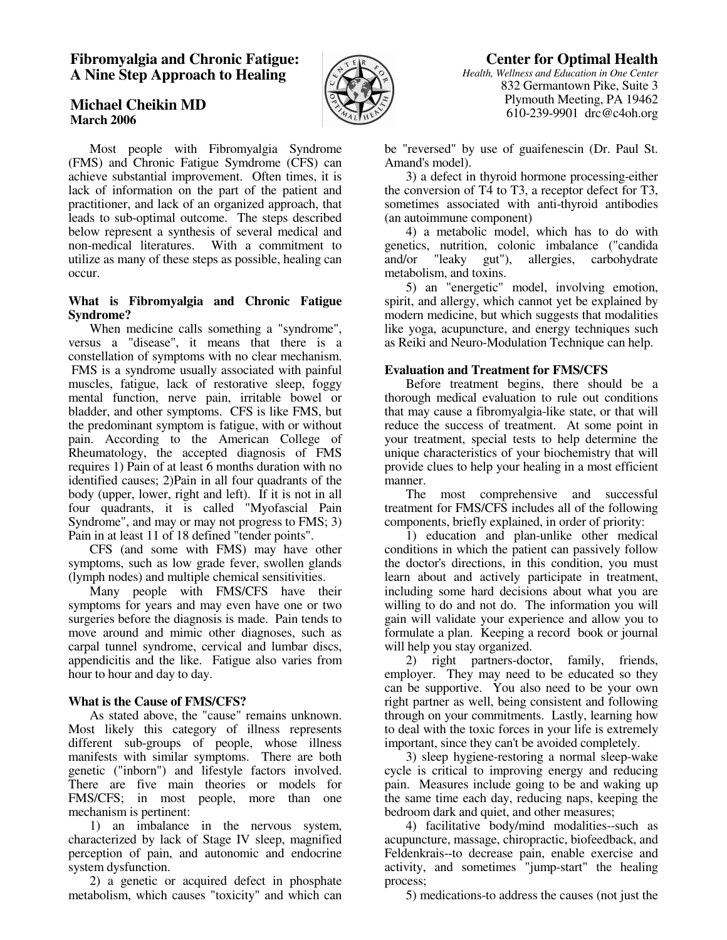## **Fibromyalgia and Chronic Fatigue: A Nine Step Approach to Healing**



**Michael Cheikin MD March 2006** 

 Most people with Fibromyalgia Syndrome (FMS) and Chronic Fatigue Symdrome (CFS) can achieve substantial improvement. Often times, it is lack of information on the part of the patient and practitioner, and lack of an organized approach, that leads to sub-optimal outcome. The steps described below represent a synthesis of several medical and non-medical literatures. With a commitment to utilize as many of these steps as possible, healing can occur.

### **What is Fibromyalgia and Chronic Fatigue Syndrome?**

When medicine calls something a "syndrome". versus a "disease", it means that there is a constellation of symptoms with no clear mechanism. FMS is a syndrome usually associated with painful muscles, fatigue, lack of restorative sleep, foggy mental function, nerve pain, irritable bowel or bladder, and other symptoms. CFS is like FMS, but the predominant symptom is fatigue, with or without pain. According to the American College of Rheumatology, the accepted diagnosis of FMS requires 1) Pain of at least 6 months duration with no identified causes; 2)Pain in all four quadrants of the body (upper, lower, right and left). If it is not in all four quadrants, it is called "Myofascial Pain Syndrome", and may or may not progress to FMS; 3) Pain in at least 11 of 18 defined "tender points".

 CFS (and some with FMS) may have other symptoms, such as low grade fever, swollen glands (lymph nodes) and multiple chemical sensitivities.

 Many people with FMS/CFS have their symptoms for years and may even have one or two surgeries before the diagnosis is made. Pain tends to move around and mimic other diagnoses, such as carpal tunnel syndrome, cervical and lumbar discs, appendicitis and the like. Fatigue also varies from hour to hour and day to day.

## **What is the Cause of FMS/CFS?**

 As stated above, the "cause" remains unknown. Most likely this category of illness represents different sub-groups of people, whose illness manifests with similar symptoms. There are both genetic ("inborn") and lifestyle factors involved. There are five main theories or models for FMS/CFS; in most people, more than one mechanism is pertinent:

 1) an imbalance in the nervous system, characterized by lack of Stage IV sleep, magnified perception of pain, and autonomic and endocrine system dysfunction.

 2) a genetic or acquired defect in phosphate metabolism, which causes "toxicity" and which can

# **Center for Optimal Health**

*Health, Wellness and Education in One Center* 832 Germantown Pike, Suite 3 Plymouth Meeting, PA 19462 610-239-9901 drc@c4oh.org

be "reversed" by use of guaifenescin (Dr. Paul St. Amand's model).

 3) a defect in thyroid hormone processing-either the conversion of T4 to T3, a receptor defect for T3, sometimes associated with anti-thyroid antibodies (an autoimmune component)

 4) a metabolic model, which has to do with genetics, nutrition, colonic imbalance ("candida and/or "leaky gut"), allergies, carbohydrate metabolism, and toxins.

 5) an "energetic" model, involving emotion, spirit, and allergy, which cannot yet be explained by modern medicine, but which suggests that modalities like yoga, acupuncture, and energy techniques such as Reiki and Neuro-Modulation Technique can help.

## **Evaluation and Treatment for FMS/CFS**

 Before treatment begins, there should be a thorough medical evaluation to rule out conditions that may cause a fibromyalgia-like state, or that will reduce the success of treatment. At some point in your treatment, special tests to help determine the unique characteristics of your biochemistry that will provide clues to help your healing in a most efficient manner.

 The most comprehensive and successful treatment for FMS/CFS includes all of the following components, briefly explained, in order of priority:

 1) education and plan-unlike other medical conditions in which the patient can passively follow the doctor's directions, in this condition, you must learn about and actively participate in treatment, including some hard decisions about what you are willing to do and not do. The information you will gain will validate your experience and allow you to formulate a plan. Keeping a record book or journal will help you stay organized.

 2) right partners-doctor, family, friends, employer. They may need to be educated so they can be supportive. You also need to be your own right partner as well, being consistent and following through on your commitments. Lastly, learning how to deal with the toxic forces in your life is extremely important, since they can't be avoided completely.

 3) sleep hygiene-restoring a normal sleep-wake cycle is critical to improving energy and reducing pain. Measures include going to be and waking up the same time each day, reducing naps, keeping the bedroom dark and quiet, and other measures;

 4) facilitative body/mind modalities--such as acupuncture, massage, chiropractic, biofeedback, and Feldenkrais--to decrease pain, enable exercise and activity, and sometimes "jump-start" the healing process;

5) medications-to address the causes (not just the